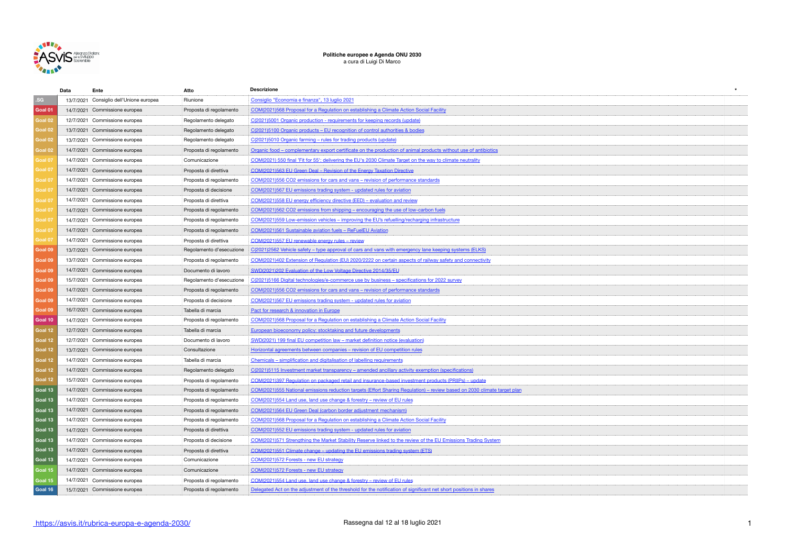

## **Politiche europee e Agenda ONU 2030** a cura di Luigi Di Marco

|                    | Data | Ente                                    | Atto                     | <b>Descrizione</b>                                                                                                       |  |
|--------------------|------|-----------------------------------------|--------------------------|--------------------------------------------------------------------------------------------------------------------------|--|
| .SG                |      | 13/7/2021 Consiglio dell'Unione europea | Riunione                 | Consiglio "Economia e finanza", 13 luglio 2021                                                                           |  |
| Goal 01            |      | 14/7/2021 Commissione europea           | Proposta di regolamento  | COM(2021)568 Proposal for a Regulation on establishing a Climate Action Social Facility                                  |  |
| Goal 02            |      | 12/7/2021 Commissione europea           | Regolamento delegato     | C(2021)5001 Organic production - requirements for keeping records (update)                                               |  |
| Goal <sub>02</sub> |      | 13/7/2021 Commissione europea           | Regolamento delegato     | C(2021)5100 Organic products - EU recognition of control authorities & bodies                                            |  |
| Goal 02            |      | 13/7/2021 Commissione europea           | Regolamento delegato     | C(2021)5010 Organic farming - rules for trading products (update                                                         |  |
| Goal 02            |      | 14/7/2021 Commissione europea           | Proposta di regolamento  | Organic food – complementary export certificate on the production of animal products without use of antibiotics          |  |
| Goal 07            |      | 14/7/2021 Commissione europea           | Comunicazione            | COM(2021) 550 final 'Fit for 55': delivering the EU's 2030 Climate Target on the way to climate neutrality               |  |
| Goal 07            |      | 14/7/2021 Commissione europea           | Proposta di direttiva    | COM(2021)563 EU Green Deal - Revision of the Energy Taxation Directive                                                   |  |
| Goal 07            |      | 14/7/2021 Commissione europea           | Proposta di regolamento  | COM(2021)556 CO2 emissions for cars and vans - revision of performance standards                                         |  |
| Goal 07            |      | 14/7/2021 Commissione europea           | Proposta di decisione    | COM(2021)567 EU emissions trading system - updated rules for aviation                                                    |  |
| Goal 07            |      | 14/7/2021 Commissione europea           | Proposta di direttiva    | COM(2021)558 EU energy efficiency directive (EED) – evaluation and review                                                |  |
| Goal 07            |      | 14/7/2021 Commissione europea           | Proposta di regolamento  | COM(2021)562 CO2 emissions from shipping - encouraging the use of low-carbon fuels                                       |  |
| Goal 07            |      | 14/7/2021 Commissione europea           | Proposta di regolamento  | COM(2021)559 Low-emission vehicles - improving the EU's refuelling/recharging infrastructure                             |  |
| Goal 07            |      | 14/7/2021 Commissione europea           | Proposta di regolamento  | COM(2021)561 Sustainable aviation fuels - ReFuelEU Aviation                                                              |  |
| Goal 07            |      | 14/7/2021 Commissione europea           | Proposta di direttiva    | COM(2021)557 EU renewable energy rules - review                                                                          |  |
| Goal 09            |      | 13/7/2021 Commissione europea           | Regolamento d'esecuzione | C(2021)2562 Vehicle safety – type approval of cars and vans with emergency lane keeping systems (ELKS)                   |  |
| Goal 09            |      | 13/7/2021 Commissione europea           | Proposta di regolamento  | COM(2021)402 Extension of Regulation (EU) 2020/2222 on certain aspects of railway safety and connectivity                |  |
| Goal 09            |      | 14/7/2021 Commissione europea           | Documento di lavoro      | SWD(2021)202 Evaluation of the Low Voltage Directive 2014/35/EU                                                          |  |
| Goal 09            |      | 15/7/2021 Commissione europea           | Regolamento d'esecuzione | C(2021)5166 Digital technologies/e-commerce use by business - specifications for 2022 survey                             |  |
| Goal 09            |      | 14/7/2021 Commissione europea           | Proposta di regolamento  | COM(2021)556 CO2 emissions for cars and vans – revision of performance standards                                         |  |
| Goal 09            |      | 14/7/2021 Commissione europea           | Proposta di decisione    | COM(2021)567 EU emissions trading system - updated rules for aviation                                                    |  |
| Goal 09            |      | 16/7/2021 Commissione europea           | Tabella di marcia        | Pact for research & innovation in Europe                                                                                 |  |
| Goal 10            |      | 14/7/2021 Commissione europea           | Proposta di regolamento  | COM(2021)568 Proposal for a Regulation on establishing a Climate Action Social Facility                                  |  |
| Goal 12            |      | 12/7/2021 Commissione europea           | Tabella di marcia        | European bioeconomy policy: stocktaking and future developments                                                          |  |
| Goal 12            |      | 12/7/2021 Commissione europea           | Documento di lavoro      | SWD(2021) 199 final EU competition law – market definition notice (evaluation)                                           |  |
| Goal 12            |      | 13/7/2021 Commissione europea           | Consultazione            | Horizontal agreements between companies - revision of EU competition rules                                               |  |
| Goal 12            |      | 14/7/2021 Commissione europea           | Tabella di marcia        | Chemicals - simplification and digitalisation of labelling requirements                                                  |  |
| Goal 12            |      | 14/7/2021 Commissione europea           | Regolamento delegato     | C(2021)5115 Investment market transparency - amended ancillary activity exemption (specifications)                       |  |
| Goal 12            |      | 15/7/2021 Commissione europea           | Proposta di regolamento  | COM(2021)397 Regulation on packaged retail and insurance-based investment products (PRIIPs) - update                     |  |
| Goal 13            |      | 14/7/2021 Commissione europea           | Proposta di regolamento  | COM(2021)555 National emissions reduction targets (Effort Sharing Regulation) – review based on 2030 climate target plan |  |
| Goal 13            |      | 14/7/2021 Commissione europea           | Proposta di regolamento  | COM(2021)554 Land use, land use change & forestry - review of EU rules                                                   |  |
| Goal 13            |      | 14/7/2021 Commissione europea           | Proposta di regolamento  | COM(2021)564 EU Green Deal (carbon border adjustment mechanism)                                                          |  |
| Goal 13            |      | 14/7/2021 Commissione europea           | Proposta di regolamento  | COM(2021)568 Proposal for a Regulation on establishing a Climate Action Social Facility                                  |  |
| Goal 13            |      | 14/7/2021 Commissione europea           | Proposta di direttiva    | COM(2021)552 EU emissions trading system - updated rules for aviation                                                    |  |
| Goal 13            |      | 14/7/2021 Commissione europea           | Proposta di decisione    | COM(2021)571 Strengthing the Market Stability Reserve linked to the review of the EU Emissions Trading System            |  |
| Goal 13            |      | 14/7/2021 Commissione europea           | Proposta di direttiva    | COM(2021)551 Climate change – updating the EU emissions trading system (ETS)                                             |  |
| Goal 13            |      | 14/7/2021 Commissione europea           | Comunicazione            | COM(2021)572 Forests - new EU strategy                                                                                   |  |
| Goal 15            |      | 14/7/2021 Commissione europea           | Comunicazione            | COM(2021)572 Forests - new EU strategy                                                                                   |  |
| Goal 15            |      | 14/7/2021 Commissione europea           | Proposta di regolamento  | COM(2021)554 Land use, land use change & forestry - review of EU rules                                                   |  |
| Goal 16            |      | 15/7/2021 Commissione europea           | Proposta di regolamento  | Delegated Act on the adjustment of the threshold for the notification of significant net short positions in shares       |  |